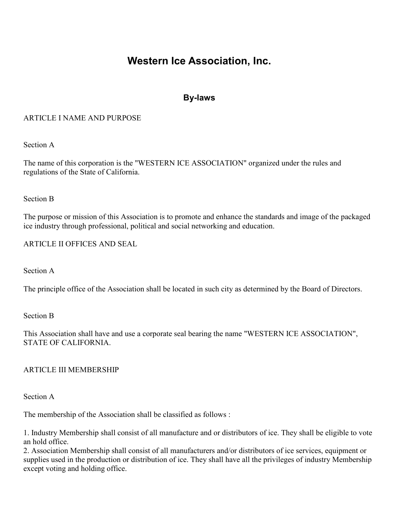# Western Ice Association, Inc.

# By-laws

# ARTICLE I NAME AND PURPOSE

Section A

The name of this corporation is the "WESTERN ICE ASSOCIATION" organized under the rules and regulations of the State of California.

Section B

The purpose or mission of this Association is to promote and enhance the standards and image of the packaged ice industry through professional, political and social networking and education.

ARTICLE II OFFICES AND SEAL

Section A

The principle office of the Association shall be located in such city as determined by the Board of Directors.

Section B

This Association shall have and use a corporate seal bearing the name "WESTERN ICE ASSOCIATION", STATE OF CALIFORNIA.

# ARTICLE III MEMBERSHIP

Section A

The membership of the Association shall be classified as follows :

1. Industry Membership shall consist of all manufacture and or distributors of ice. They shall be eligible to vote an hold office.

2. Association Membership shall consist of all manufacturers and/or distributors of ice services, equipment or supplies used in the production or distribution of ice. They shall have all the privileges of industry Membership except voting and holding office.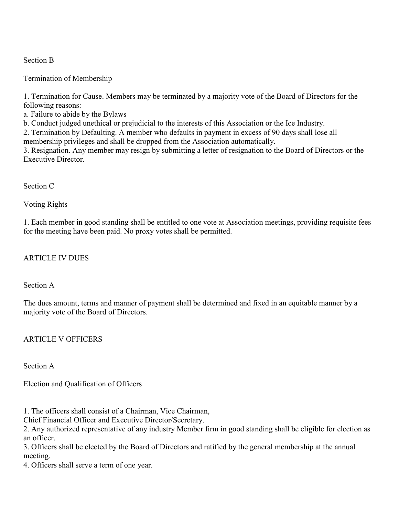### Section B

Termination of Membership

1. Termination for Cause. Members may be terminated by a majority vote of the Board of Directors for the following reasons:

a. Failure to abide by the Bylaws

b. Conduct judged unethical or prejudicial to the interests of this Association or the Ice Industry.

2. Termination by Defaulting. A member who defaults in payment in excess of 90 days shall lose all membership privileges and shall be dropped from the Association automatically.

3. Resignation. Any member may resign by submitting a letter of resignation to the Board of Directors or the Executive Director.

### Section C

Voting Rights

1. Each member in good standing shall be entitled to one vote at Association meetings, providing requisite fees for the meeting have been paid. No proxy votes shall be permitted.

# ARTICLE IV DUES

Section A

The dues amount, terms and manner of payment shall be determined and fixed in an equitable manner by a majority vote of the Board of Directors.

# ARTICLE V OFFICERS

Section A

Election and Qualification of Officers

1. The officers shall consist of a Chairman, Vice Chairman,

Chief Financial Officer and Executive Director/Secretary.

2. Any authorized representative of any industry Member firm in good standing shall be eligible for election as an officer.

3. Officers shall be elected by the Board of Directors and ratified by the general membership at the annual meeting.

4. Officers shall serve a term of one year.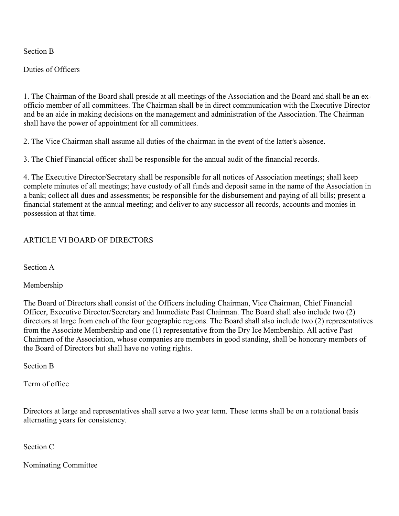Section B

Duties of Officers

1. The Chairman of the Board shall preside at all meetings of the Association and the Board and shall be an exofficio member of all committees. The Chairman shall be in direct communication with the Executive Director and be an aide in making decisions on the management and administration of the Association. The Chairman shall have the power of appointment for all committees.

2. The Vice Chairman shall assume all duties of the chairman in the event of the latter's absence.

3. The Chief Financial officer shall be responsible for the annual audit of the financial records.

4. The Executive Director/Secretary shall be responsible for all notices of Association meetings; shall keep complete minutes of all meetings; have custody of all funds and deposit same in the name of the Association in a bank; collect all dues and assessments; be responsible for the disbursement and paying of all bills; present a financial statement at the annual meeting; and deliver to any successor all records, accounts and monies in possession at that time.

#### ARTICLE VI BOARD OF DIRECTORS

Section A

Membership

The Board of Directors shall consist of the Officers including Chairman, Vice Chairman, Chief Financial Officer, Executive Director/Secretary and Immediate Past Chairman. The Board shall also include two (2) directors at large from each of the four geographic regions. The Board shall also include two (2) representatives from the Associate Membership and one (1) representative from the Dry Ice Membership. All active Past Chairmen of the Association, whose companies are members in good standing, shall be honorary members of the Board of Directors but shall have no voting rights.

Section B

Term of office

Directors at large and representatives shall serve a two year term. These terms shall be on a rotational basis alternating years for consistency.

Section C

Nominating Committee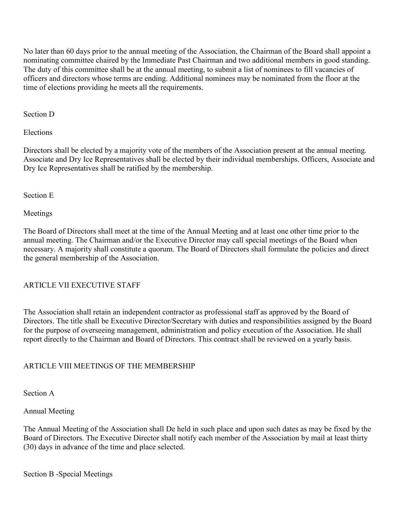No later than 60 days prior to the annual meeting of the Association, the Chairman of the Board shall appoint a nominating committee chaired by the Immediate Past Chairman and two additional members in good standing. The duty of this committee shall be at the annual meeting, to submit a list of nominees to fill vacancies of officers and directors whose terms are ending. Additional nominees may be nominated from the floor at the time of elections providing he meets all the requirements.

Section D

Elections

Directors shall be elected by a majority vote of the members of the Association present at the annual meeting. Associate and Dry Ice Representatives shall be elected by their individual memberships. Officers, Associate and Dry Ice Representatives shall be ratified by the membership.

Section E

Meetings

The Board of Directors shall meet at the time of the Annual Meeting and at least one other time prior to the annual meeting. The Chairman and/or the Executive Director may call special meetings of the Board when necessary. A majority shall constitute a quorum. The Board of Directors shall formulate the policies and direct the general membership of the Association.

# ARTICLE VII EXECUTIVE STAFF

The Association shall retain an independent contractor as professional staff as approved by the Board of Directors. The title shall be Executive Director/Secretary with duties and responsibilities assigned by the Board for the purpose of overseeing management, administration and policy execution of the Association. He shall report directly to the Chairman and Board of Directors. This contract shall be reviewed on a yearly basis.

# ARTICLE VIII MEETINGS OF THE MEMBERSHIP

Section A

# Annual Meeting

The Annual Meeting of the Association shall De held in such place and upon such dates as may be fixed by the Board of Directors. The Executive Director shall notify each member of the Association by mail at least thirty (30) days in advance of the time and place selected.

Section B -Special Meetings